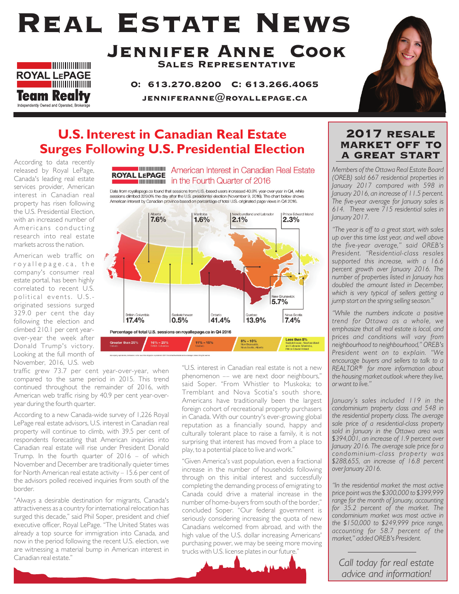# Real Estate News



#### Jennifer Anne Cook Sales Representative

O: 613.270.8200 C: 613.266.4065 JENNIFERANNE $@$ ROYALLEPAGE.CA



### **U.S. Interest in Canadian Real Estate Surges Following U.S. Presidential Election**

According to data recently released by Royal LePage, Canada's leading real estate services provider, American interest in Canadian real property has risen following the U.S. Presidential Election, with an increased number of Americans conducting research into real estate markets across the nation.

American web traffic on roy allepage.ca, the company's consumer real estate portal, has been highly correlated to recent U.S. political events. U.S.originated sessions surged 329.0 per cent the day following the election and climbed 210.1 per cent yearover-year the week after Donald Trump's victory. Looking at the full month of November, 2016, U.S. web



Data from royallepage.ca found that sessions from U.S.-based users increased 40.9% year-over-year in Q4, while sessions climbed 329.0% the day after the U.S. presidential election (November 9, 2016). The chart below shows American interest by Canadian province based on percentage of total U.S.-originated page views in Q4 2016.



traffic grew 73.7 per cent year-over-year, when compared to the same period in 2015. This trend continued throughout the remainder of 2016, with American web traffic rising by 40.9 per cent year-overyear during the fourth quarter.

According to a new Canada-wide survey of 1,226 Royal LePage real estate advisors, U.S. interest in Canadian real property will continue to climb, with 39.5 per cent of respondents forecasting that American inquiries into Canadian real estate will rise under President Donald Trump. In the fourth quarter of 2016 – of which November and December are traditionally quieter times for North American real estate activity – 15.6 per cent of the advisors polled received inquiries from south of the border.

"Always a desirable destination for migrants, Canada's attractiveness as a country for international relocation has surged this decade," said Phil Soper, president and chief executive officer, Royal LePage. "The United States was already a top source for immigration into Canada, and now in the period following the recent U.S. election, we are witnessing a material bump in American interest in Canadian real estate."

"U.S. interest in Canadian real estate is not a new phenomenon –– we are next door neighbours," said Soper. "From Whistler to Muskoka; to Tremblant and Nova Scotia's south shore, Americans have traditionally been the largest foreign cohort of recreational property purchasers in Canada. With our country's ever-growing global reputation as a financially sound, happy and culturally tolerant place to raise a family, it is not surprising that interest has moved from a place to play, to a potential place to live and work."

"Given America's vast population, even a fractional increase in the number of households following through on this initial interest and successfully completing the demanding process of emigrating to Canada could drive a material increase in the number of home-buyers from south of the border," concluded Soper. "Our federal government is seriously considering increasing the quota of new Canadians welcomed from abroad, and with the high value of the U.S. dollar increasing Americans' purchasing power, we may be seeing more moving trucks with U.S. license plates in our future."



#### 2017 resale market off to a great start

*Members of the Ottawa Real Estate Board (OREB) sold 667 residential properties in January 2017 compared with 598 in January 2016, an increase of 11.5 percent. The five-year average for January sales is 614. There were 715 residential sales in January 2017.*

*"The year is off to a great start, with sales up over this time last year, and well above the five-year average," said OREB's President. "Residential-class resales supported this increase, with a 16.6 percent growth over January 2016. The number of properties listed in January has doubled the amount listed in December, which is very typical of sellers getting a jump start on the spring selling season."* 

*"While the numbers indicate a positive trend for Ottawa as a whole, we emphasize that all real estate is local, and prices and conditions will vary from neighbourhood to neighbourhood," OREB's President went on to explain. "We encourage buyers and sellers to talk to a REALTOR® for more information about the housing market outlook where they live, or want to live."*

*January's sales included 119 in the condominium property class and 548 in the residential property class. The average sale price of a residential-class property sold in January in the Ottawa area was \$394,001, an increase of 1.9 percent over January 2016. The average sale price for a condominium-class property was \$288,655, an increase of 16.8 percent over January 2016.* 

*"In the residential market the most active price point was the \$300,000 to \$399,999 range for the month of January, accounting for 35.2 percent of the market. The condominium market was most active in the \$150,000 to \$249,999 price range, accounting for 58.7 percent of the market," added OREB's President.*

*Call today for real estate advice and information!*